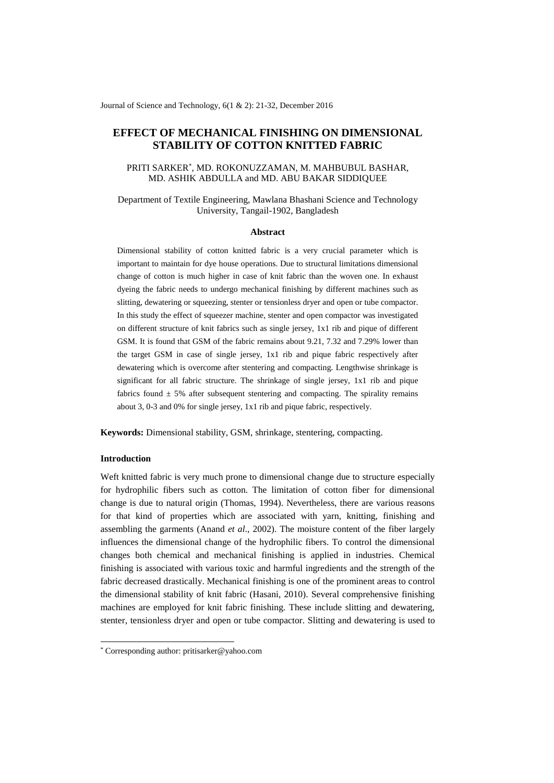Journal of Science and Technology, 6(1 & 2): 21-32, December 2016

# **EFFECT OF MECHANICAL FINISHING ON DIMENSIONAL STABILITY OF COTTON KNITTED FABRIC**

## PRITI SARKER\* , MD. ROKONUZZAMAN, M. MAHBUBUL BASHAR, MD. ASHIK ABDULLA and MD. ABU BAKAR SIDDIQUEE

## Department of Textile Engineering, Mawlana Bhashani Science and Technology University, Tangail-1902, Bangladesh

#### **Abstract**

Dimensional stability of cotton knitted fabric is a very crucial parameter which is important to maintain for dye house operations. Due to structural limitations dimensional change of cotton is much higher in case of knit fabric than the woven one. In exhaust dyeing the fabric needs to undergo mechanical finishing by different machines such as slitting, dewatering or squeezing, stenter or tensionless dryer and open or tube compactor. In this study the effect of squeezer machine, stenter and open compactor was investigated on different structure of knit fabrics such as single jersey, 1x1 rib and pique of different GSM. It is found that GSM of the fabric remains about 9.21, 7.32 and 7.29% lower than the target GSM in case of single jersey, 1x1 rib and pique fabric respectively after dewatering which is overcome after stentering and compacting. Lengthwise shrinkage is significant for all fabric structure. The shrinkage of single jersey, 1x1 rib and pique fabrics found  $\pm$  5% after subsequent stentering and compacting. The spirality remains about 3, 0-3 and 0% for single jersey, 1x1 rib and pique fabric, respectively.

**Keywords:** Dimensional stability, GSM, shrinkage, stentering, compacting.

## **Introduction**

1

Weft knitted fabric is very much prone to dimensional change due to structure especially for hydrophilic fibers such as cotton. The limitation of cotton fiber for dimensional change is due to natural origin (Thomas, 1994). Nevertheless, there are various reasons for that kind of properties which are associated with yarn, knitting, finishing and assembling the garments (Anand *et al*., 2002). The moisture content of the fiber largely influences the dimensional change of the hydrophilic fibers. To control the dimensional changes both chemical and mechanical finishing is applied in industries. Chemical finishing is associated with various toxic and harmful ingredients and the strength of the fabric decreased drastically. Mechanical finishing is one of the prominent areas to control the dimensional stability of knit fabric (Hasani, 2010). Several comprehensive finishing machines are employed for knit fabric finishing. These include slitting and dewatering, stenter, tensionless dryer and open or tube compactor. Slitting and dewatering is used to

<sup>\*</sup> Corresponding author: pritisarker@yahoo.com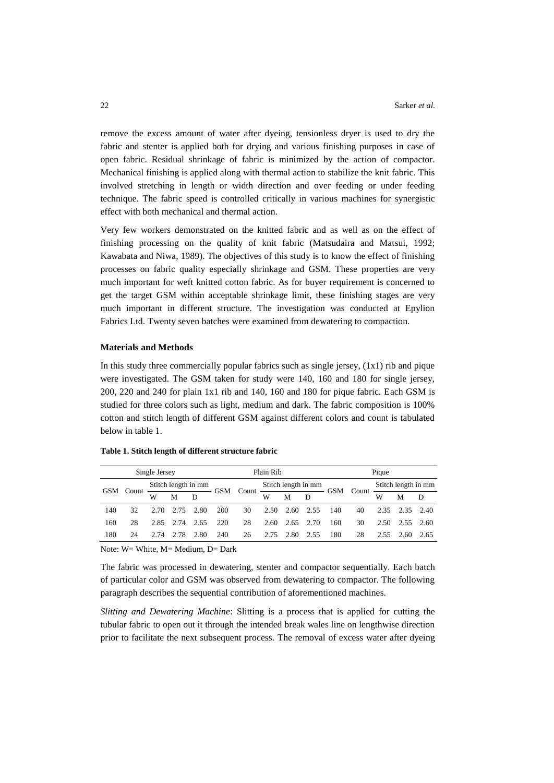remove the excess amount of water after dyeing, tensionless dryer is used to dry the fabric and stenter is applied both for drying and various finishing purposes in case of open fabric. Residual shrinkage of fabric is minimized by the action of compactor. Mechanical finishing is applied along with thermal action to stabilize the knit fabric. This involved stretching in length or width direction and over feeding or under feeding technique. The fabric speed is controlled critically in various machines for synergistic effect with both mechanical and thermal action.

Very few workers demonstrated on the knitted fabric and as well as on the effect of finishing processing on the quality of knit fabric (Matsudaira and Matsui, 1992; Kawabata and Niwa, 1989). The objectives of this study is to know the effect of finishing processes on fabric quality especially shrinkage and GSM. These properties are very much important for weft knitted cotton fabric. As for buyer requirement is concerned to get the target GSM within acceptable shrinkage limit, these finishing stages are very much important in different structure. The investigation was conducted at Epylion Fabrics Ltd. Twenty seven batches were examined from dewatering to compaction.

#### **Materials and Methods**

In this study three commercially popular fabrics such as single jersey,  $(1x1)$  rib and pique were investigated. The GSM taken for study were 140, 160 and 180 for single jersey, 200, 220 and 240 for plain 1x1 rib and 140, 160 and 180 for pique fabric. Each GSM is studied for three colors such as light, medium and dark. The fabric composition is 100% cotton and stitch length of different GSM against different colors and count is tabulated below in table 1.

|     |       | Single Jersey |      |                     |     | Plain Rib                |      |      |                     |            | Pique |                     |           |      |  |
|-----|-------|---------------|------|---------------------|-----|--------------------------|------|------|---------------------|------------|-------|---------------------|-----------|------|--|
| GSM | Count |               |      | Stitch length in mm |     |                          |      |      | Stitch length in mm | <b>GSM</b> | Count | Stitch length in mm |           |      |  |
|     |       | w             | M    | D                   |     | GSM Count<br>M<br>W<br>D |      |      |                     | W          | M     | D                   |           |      |  |
| 140 | 32    | 2.70          | 2.75 | 2.80                | 200 | 30                       | 2.50 | 2.60 | 2.55                | 140        | 40    | 2.35                | 2.35 2.40 |      |  |
| 160 | 28    | 2.85          | 2.74 | 2.65                | 220 | 28                       | 2.60 | 2.65 | 2.70                | 160        | 30    | 2.50                | 2.55 2.60 |      |  |
| 180 | 24    | 2.74          | 2.78 | 2.80                | 240 | 26                       | 2.75 | 2.80 | 2.55                | 180        | 28    | 2.55                | 2.60      | 2.65 |  |

#### **Table 1. Stitch length of different structure fabric**

Note: W= White, M= Medium, D= Dark

The fabric was processed in dewatering, stenter and compactor sequentially. Each batch of particular color and GSM was observed from dewatering to compactor. The following paragraph describes the sequential contribution of aforementioned machines.

*Slitting and Dewatering Machine*: Slitting is a process that is applied for cutting the tubular fabric to open out it through the intended break wales line on lengthwise direction prior to facilitate the next subsequent process. The removal of excess water after dyeing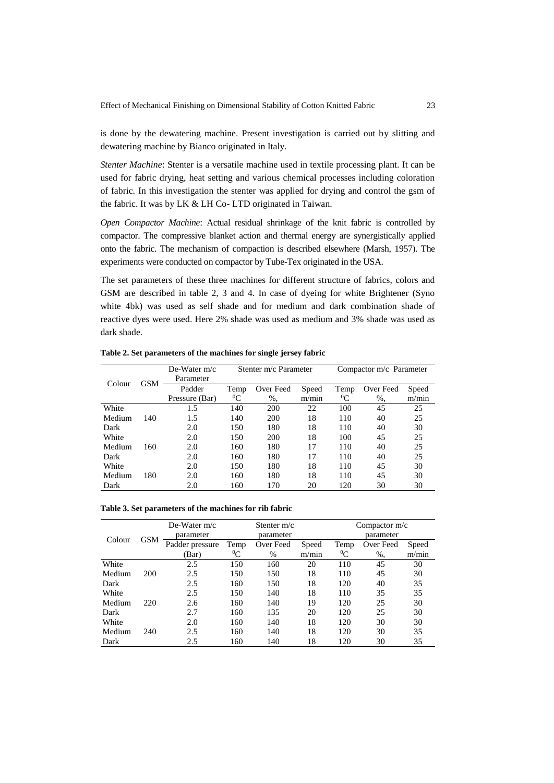is done by the dewatering machine. Present investigation is carried out by slitting and dewatering machine by Bianco originated in Italy.

*Stenter Machine*: Stenter is a versatile machine used in textile processing plant. It can be used for fabric drying, heat setting and various chemical processes including coloration of fabric. In this investigation the stenter was applied for drying and control the gsm of the fabric. It was by LK & LH Co- LTD originated in Taiwan.

*Open Compactor Machine*: Actual residual shrinkage of the knit fabric is controlled by compactor. The compressive blanket action and thermal energy are synergistically applied onto the fabric. The mechanism of compaction is described elsewhere (Marsh, 1957). The experiments were conducted on compactor by Tube-Tex originated in the USA.

The set parameters of these three machines for different structure of fabrics, colors and GSM are described in table 2, 3 and 4. In case of dyeing for white Brightener (Syno white 4bk) was used as self shade and for medium and dark combination shade of reactive dyes were used. Here 2% shade was used as medium and 3% shade was used as dark shade.

**Table 2. Set parameters of the machines for single jersey fabric**

|        |            | De-Water $m/c$<br>Parameter |           | Stenter m/c Parameter |       | Compactor m/c Parameter |           |       |  |
|--------|------------|-----------------------------|-----------|-----------------------|-------|-------------------------|-----------|-------|--|
| Colour | <b>GSM</b> | Padder                      | Temp      | Over Feed             | Speed | Temp                    | Over Feed | Speed |  |
|        |            | Pressure (Bar)              | ${}^{0}C$ | $%$ ,                 | m/min | ${}^{0}C$               | $%$ ,     | m/min |  |
| White  |            | 1.5                         | 140       | 200                   | 22    | 100                     | 45        | 25    |  |
| Medium | 140        | 1.5                         | 140       | 200                   | 18    | 110                     | 40        | 25    |  |
| Dark   |            | 2.0                         | 150       | 180                   | 18    | 110                     | 40        | 30    |  |
| White  |            | 2.0                         | 150       | 200                   | 18    | 100                     | 45        | 25    |  |
| Medium | 160        | 2.0                         | 160       | 180                   | 17    | 110                     | 40        | 25    |  |
| Dark   |            | 2.0                         | 160       | 180                   | 17    | 110                     | 40        | 25    |  |
| White  |            | 2.0                         | 150       | 180                   | 18    | 110                     | 45        | 30    |  |
| Medium | 180        | 2.0                         | 160       | 180                   | 18    | 110                     | 45        | 30    |  |
| Dark   |            | 2.0                         | 160       | 170                   | 20    | 120                     | 30        | 30    |  |

| Table 3. Set parameters of the machines for rib fabric |  |  |  |  |  |
|--------------------------------------------------------|--|--|--|--|--|
|--------------------------------------------------------|--|--|--|--|--|

|        |            | De-Water $m/c$  |           | Stenter $m/c$ |       | Compactor $m/c$ |           |       |  |
|--------|------------|-----------------|-----------|---------------|-------|-----------------|-----------|-------|--|
| Colour | <b>GSM</b> | parameter       |           | parameter     |       | parameter       |           |       |  |
|        |            | Padder pressure | Temp      | Over Feed     | Speed | Temp            | Over Feed | Speed |  |
|        |            | (Bar)           | ${}^{0}C$ | $\%$          | m/min | ${}^{0}C$       | $%$ ,     | m/min |  |
| White  |            | 2.5             | 150       | 160           | 20    | 110             | 45        | 30    |  |
| Medium | 200        | 2.5             | 150       | 150           | 18    | 110             | 45        | 30    |  |
| Dark   |            | 2.5             | 160       | 150           | 18    | 120             | 40        | 35    |  |
| White  |            | 2.5             | 150       | 140           | 18    | 110             | 35        | 35    |  |
| Medium | 220        | 2.6             | 160       | 140           | 19    | 120             | 25        | 30    |  |
| Dark   |            | 2.7             | 160       | 135           | 20    | 120             | 25        | 30    |  |
| White  |            | 2.0             | 160       | 140           | 18    | 120             | 30        | 30    |  |
| Medium | 240        | 2.5             | 160       | 140           | 18    | 120             | 30        | 35    |  |
| Dark   |            | 2.5             | 160       | 140           | 18    | 120             | 30        | 35    |  |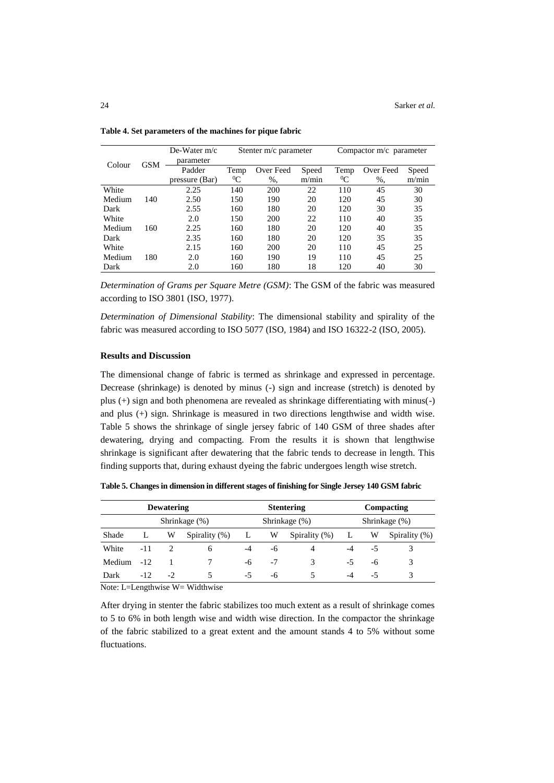|        |            | De-Water $m/c$<br>parameter |           | Stenter m/c parameter |       | Compactor m/c parameter |           |       |  |  |
|--------|------------|-----------------------------|-----------|-----------------------|-------|-------------------------|-----------|-------|--|--|
| Colour | <b>GSM</b> | Padder                      | Temp      | Over Feed             | Speed | Temp                    | Over Feed | Speed |  |  |
|        |            | pressure (Bar)              | ${}^{0}C$ | %,                    | m/min | ${}^{0}C$               | $%$ .     | m/min |  |  |
| White  |            | 2.25                        | 140       | 200                   | 22    | 110                     | 45        | 30    |  |  |
| Medium | 140        | 2.50                        | 150       | 190                   | 20    | 120                     | 45        | 30    |  |  |
| Dark   |            | 2.55                        | 160       | 180                   | 20    | 120                     | 30        | 35    |  |  |
| White  |            | 2.0                         | 150       | 200                   | 22    | 110                     | 40        | 35    |  |  |
| Medium | 160        | 2.25                        | 160       | 180                   | 20    | 120                     | 40        | 35    |  |  |
| Dark   |            | 2.35                        | 160       | 180                   | 20    | 120                     | 35        | 35    |  |  |
| White  |            | 2.15                        | 160       | 200                   | 20    | 110                     | 45        | 25    |  |  |
| Medium | 180        | 2.0                         | 160       | 190                   | 19    | 110                     | 45        | 25    |  |  |
| Dark   |            | 2.0                         | 160       | 180                   | 18    | 120                     | 40        | 30    |  |  |

**Table 4. Set parameters of the machines for pique fabric**

*Determination of Grams per Square Metre (GSM)*: The GSM of the fabric was measured according to ISO 3801 (ISO, 1977).

*Determination of Dimensional Stability*: The dimensional stability and spirality of the fabric was measured according to ISO 5077 (ISO, 1984) and ISO 16322-2 (ISO, 2005).

## **Results and Discussion**

The dimensional change of fabric is termed as shrinkage and expressed in percentage. Decrease (shrinkage) is denoted by minus (-) sign and increase (stretch) is denoted by plus (+) sign and both phenomena are revealed as shrinkage differentiating with minus(-) and plus (+) sign. Shrinkage is measured in two directions lengthwise and width wise. Table 5 shows the shrinkage of single jersey fabric of 140 GSM of three shades after dewatering, drying and compacting. From the results it is shown that lengthwise shrinkage is significant after dewatering that the fabric tends to decrease in length. This finding supports that, during exhaust dyeing the fabric undergoes length wise stretch.

**Table 5. Changes in dimension in different stages of finishing for Single Jersey 140 GSM fabric**

|               |       | <b>Dewatering</b> |                  |              |      | <b>Stentering</b> | Compacting    |    |               |  |
|---------------|-------|-------------------|------------------|--------------|------|-------------------|---------------|----|---------------|--|
| Shrinkage (%) |       |                   |                  |              |      | Shrinkage (%)     | Shrinkage (%) |    |               |  |
| Shade         | L     | W                 | Spirality $(\%)$ | $\mathbf{L}$ | W    | Spirality $(\%)$  | L             | W  | Spirality (%) |  |
| White         | $-11$ |                   | 6                | $-4$         | -6   |                   | $-4$          | -5 |               |  |
| Medium        | $-12$ |                   |                  | -6           | $-7$ | 3                 | $-5$          | -6 | 3             |  |
| Dark          | $-12$ | $-2$              | 5                | -5           | -6   | 5                 | -4            | -5 |               |  |

Note: L=Lengthwise W= Widthwise

After drying in stenter the fabric stabilizes too much extent as a result of shrinkage comes to 5 to 6% in both length wise and width wise direction. In the compactor the shrinkage of the fabric stabilized to a great extent and the amount stands 4 to 5% without some fluctuations.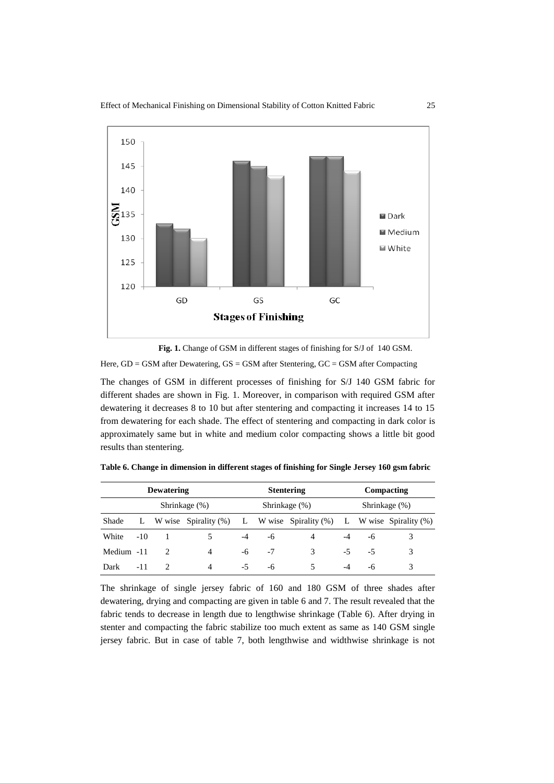

 **Fig. 1.** Change of GSM in different stages of finishing for S/J of 140 GSM.

Here, GD = GSM after Dewatering, GS = GSM after Stentering, GC = GSM after Compacting

The changes of GSM in different processes of finishing for S/J 140 GSM fabric for different shades are shown in Fig. 1. Moreover, in comparison with required GSM after dewatering it decreases 8 to 10 but after stentering and compacting it increases 14 to 15 from dewatering for each shade. The effect of stentering and compacting in dark color is approximately same but in white and medium color compacting shows a little bit good results than stentering.

|               | <b>Dewatering</b> |  |                                                                      |      |    | <b>Stentering</b> | Compacting    |    |  |  |
|---------------|-------------------|--|----------------------------------------------------------------------|------|----|-------------------|---------------|----|--|--|
| Shrinkage (%) |                   |  |                                                                      |      |    | Shrinkage (%)     | Shrinkage (%) |    |  |  |
| Shade         |                   |  | L W wise Spirality (%) L W wise Spirality (%) L W wise Spirality (%) |      |    |                   |               |    |  |  |
| White         | $-10$             |  |                                                                      | $-4$ | -6 | 4                 |               | -6 |  |  |
| Medium -11    |                   |  | 4                                                                    | -6   | -7 | 3                 | $-5$          | -5 |  |  |
| Dark          | $-11$             |  | 4                                                                    | -5   | -6 |                   | -4            | -6 |  |  |

**Table 6. Change in dimension in different stages of finishing for Single Jersey 160 gsm fabric**

The shrinkage of single jersey fabric of 160 and 180 GSM of three shades after dewatering, drying and compacting are given in table 6 and 7. The result revealed that the fabric tends to decrease in length due to lengthwise shrinkage (Table 6). After drying in stenter and compacting the fabric stabilize too much extent as same as 140 GSM single jersey fabric. But in case of table 7, both lengthwise and widthwise shrinkage is not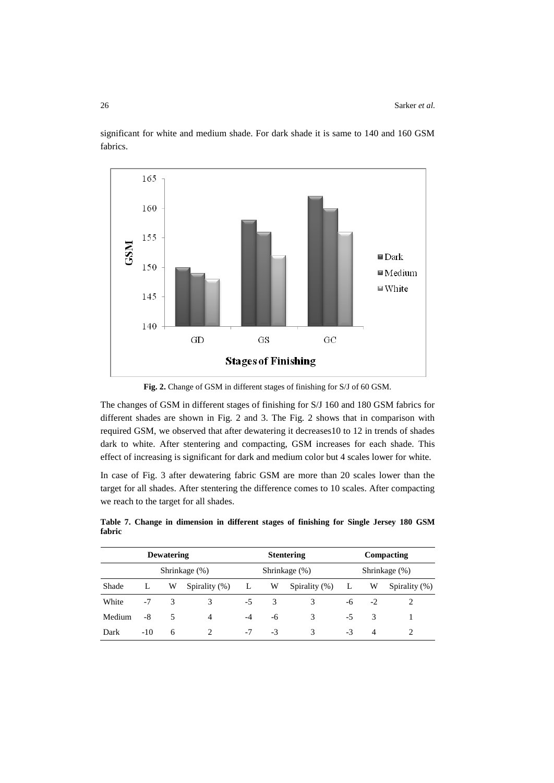

significant for white and medium shade. For dark shade it is same to 140 and 160 GSM fabrics.

**Fig. 2.** Change of GSM in different stages of finishing for S/J of 60 GSM.

The changes of GSM in different stages of finishing for S/J 160 and 180 GSM fabrics for different shades are shown in Fig. 2 and 3. The Fig. 2 shows that in comparison with required GSM, we observed that after dewatering it decreases10 to 12 in trends of shades dark to white. After stentering and compacting, GSM increases for each shade. This effect of increasing is significant for dark and medium color but 4 scales lower for white.

In case of Fig. 3 after dewatering fabric GSM are more than 20 scales lower than the target for all shades. After stentering the difference comes to 10 scales. After compacting we reach to the target for all shades.

|               | <b>Dewatering</b> |   |                             |      |      | <b>Stentering</b> | Compacting    |                |                |  |
|---------------|-------------------|---|-----------------------------|------|------|-------------------|---------------|----------------|----------------|--|
| Shrinkage (%) |                   |   |                             |      |      | Shrinkage (%)     | Shrinkage (%) |                |                |  |
| Shade         |                   | W | Spirality $(\%)$            | L    | W    | Spirality $(\%)$  | L             | W              | Spirality (%)  |  |
| White         | $-7$              | 3 | 3                           | $-5$ | 3    | 3                 | -6            | $-2$           |                |  |
| Medium        | -8                | 5 | 4                           | $-4$ | -6   | 3                 | -5            | 3              |                |  |
| Dark          | $-10$             | 6 | $\mathcal{D}_{\mathcal{A}}$ | $-7$ | $-3$ | 3                 | $-3$          | $\overline{4}$ | $\mathfrak{D}$ |  |

**Table 7. Change in dimension in different stages of finishing for Single Jersey 180 GSM fabric**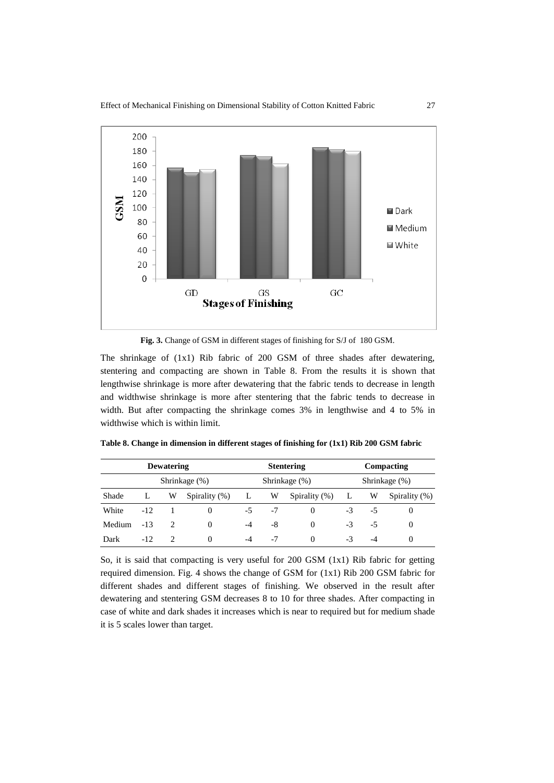

**Fig. 3.** Change of GSM in different stages of finishing for S/J of 180 GSM.

The shrinkage of (1x1) Rib fabric of 200 GSM of three shades after dewatering, stentering and compacting are shown in Table 8. From the results it is shown that lengthwise shrinkage is more after dewatering that the fabric tends to decrease in length and widthwise shrinkage is more after stentering that the fabric tends to decrease in width. But after compacting the shrinkage comes 3% in lengthwise and 4 to 5% in widthwise which is within limit.

|        | <b>Dewatering</b> |               |               |    |               | <b>Stentering</b> | Compacting |      |               |  |
|--------|-------------------|---------------|---------------|----|---------------|-------------------|------------|------|---------------|--|
|        |                   | Shrinkage (%) |               |    | Shrinkage (%) | Shrinkage (%)     |            |      |               |  |
| Shade  |                   | W             | Spirality (%) | L  | W             | Spirality (%)     |            | W    | Spirality (%) |  |
| White  | $-12$             |               | 0             | -5 | $-7$          | $\Omega$          | -3         | -5   | $\theta$      |  |
| Medium | $-13$             | 2             | 0             | -4 | -8            | $\Omega$          | $-3$       | -5   | $\theta$      |  |
| Dark   | $-12.$            |               | 0             | -4 | -7            | 0                 | $-3$       | $-4$ | $\theta$      |  |

**Table 8. Change in dimension in different stages of finishing for (1x1) Rib 200 GSM fabric**

So, it is said that compacting is very useful for 200 GSM (1x1) Rib fabric for getting required dimension. Fig. 4 shows the change of GSM for (1x1) Rib 200 GSM fabric for different shades and different stages of finishing. We observed in the result after dewatering and stentering GSM decreases 8 to 10 for three shades. After compacting in case of white and dark shades it increases which is near to required but for medium shade it is 5 scales lower than target.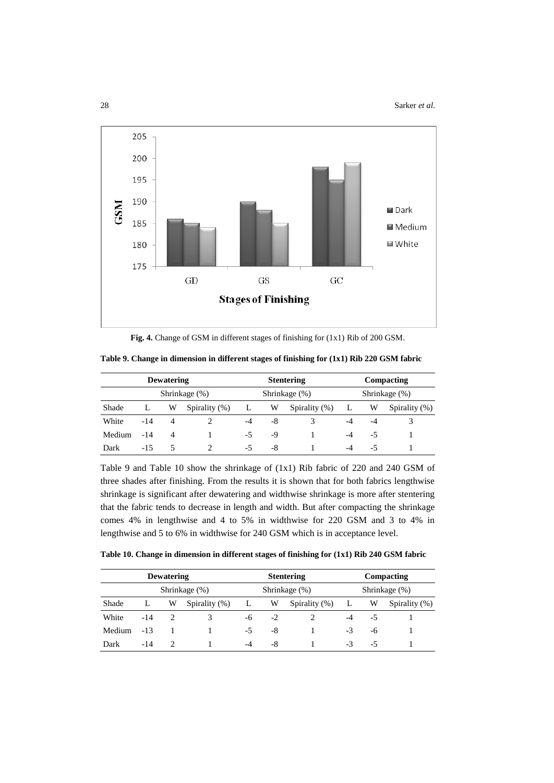

**Fig. 4.** Change of GSM in different stages of finishing for (1x1) Rib of 200 GSM.

|               |        | <b>Dewatering</b> |                  |              |    | <b>Stentering</b> | Compacting    |    |               |  |
|---------------|--------|-------------------|------------------|--------------|----|-------------------|---------------|----|---------------|--|
| Shrinkage (%) |        |                   |                  |              |    | Shrinkage (%)     | Shrinkage (%) |    |               |  |
| Shade         | L      | W                 | Spirality $(\%)$ | $\mathbf{L}$ | W  | Spirality $(\%)$  | L.            | W  | Spirality (%) |  |
| White         | $-14$  | 4                 |                  | -4           | -8 |                   | $-4$          | -4 |               |  |
| Medium        | $-14$  | 4                 |                  | -5           | -9 |                   | $-4$          | -5 |               |  |
| Dark          | $-1.5$ | ጎ                 |                  | $-5$         | -8 |                   | -4            | -5 |               |  |

**Table 9. Change in dimension in different stages of finishing for (1x1) Rib 220 GSM fabric**

Table 9 and Table 10 show the shrinkage of (1x1) Rib fabric of 220 and 240 GSM of three shades after finishing. From the results it is shown that for both fabrics lengthwise shrinkage is significant after dewatering and widthwise shrinkage is more after stentering that the fabric tends to decrease in length and width. But after compacting the shrinkage comes 4% in lengthwise and 4 to 5% in widthwise for 220 GSM and 3 to 4% in lengthwise and 5 to 6% in widthwise for 240 GSM which is in acceptance level.

**Table 10. Change in dimension in different stages of finishing for (1x1) Rib 240 GSM fabric**

|        | <b>Dewatering</b> |               |                  |      |               | <b>Stentering</b> | Compacting |    |               |  |
|--------|-------------------|---------------|------------------|------|---------------|-------------------|------------|----|---------------|--|
|        |                   | Shrinkage (%) |                  |      | Shrinkage (%) | Shrinkage (%)     |            |    |               |  |
| Shade  | L                 | W             | Spirality $(\%)$ | L    | W             | Spirality $(\%)$  | ┺          | W  | Spirality (%) |  |
| White  | $-14$             |               |                  | -6   | $-2$          |                   | $-4$       | -5 |               |  |
| Medium | $-13$             |               |                  | $-5$ | -8            |                   | -3         | -6 |               |  |
| Dark   | $-14$             |               |                  | -4   | -8            |                   | -3         | -5 |               |  |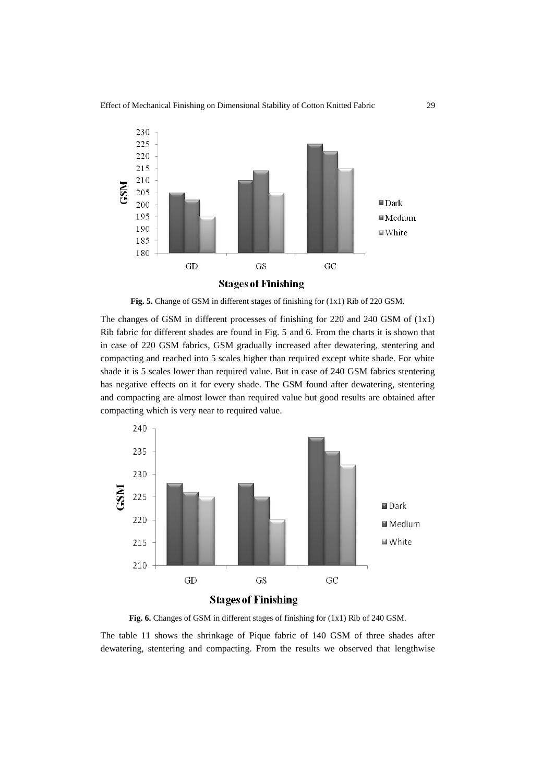

**Fig. 5.** Change of GSM in different stages of finishing for (1x1) Rib of 220 GSM.

The changes of GSM in different processes of finishing for 220 and 240 GSM of (1x1) Rib fabric for different shades are found in Fig. 5 and 6. From the charts it is shown that in case of 220 GSM fabrics, GSM gradually increased after dewatering, stentering and compacting and reached into 5 scales higher than required except white shade. For white shade it is 5 scales lower than required value. But in case of 240 GSM fabrics stentering has negative effects on it for every shade. The GSM found after dewatering, stentering and compacting are almost lower than required value but good results are obtained after compacting which is very near to required value.



**Fig. 6.** Changes of GSM in different stages of finishing for (1x1) Rib of 240 GSM.

The table 11 shows the shrinkage of Pique fabric of 140 GSM of three shades after dewatering, stentering and compacting. From the results we observed that lengthwise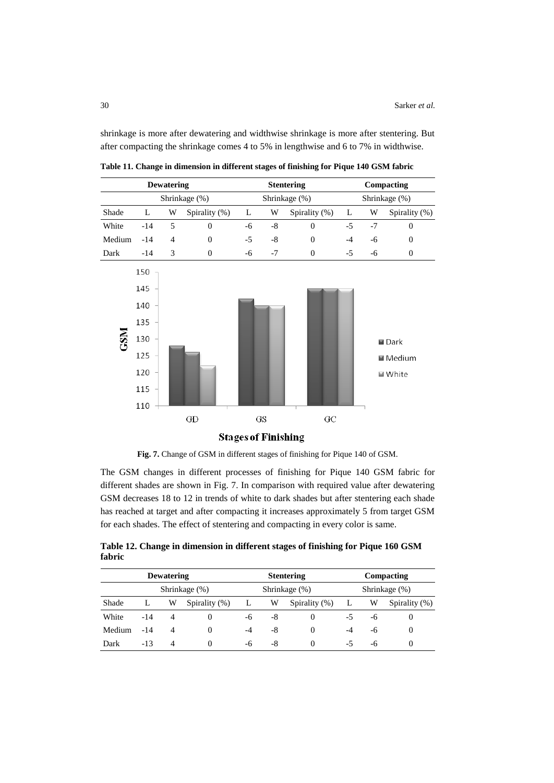shrinkage is more after dewatering and widthwise shrinkage is more after stentering. But after compacting the shrinkage comes 4 to 5% in lengthwise and 6 to 7% in widthwise.



**Table 11. Change in dimension in different stages of finishing for Pique 140 GSM fabric**

**Fig. 7.** Change of GSM in different stages of finishing for Pique 140 of GSM.

The GSM changes in different processes of finishing for Pique 140 GSM fabric for different shades are shown in Fig. 7. In comparison with required value after dewatering GSM decreases 18 to 12 in trends of white to dark shades but after stentering each shade has reached at target and after compacting it increases approximately 5 from target GSM for each shades. The effect of stentering and compacting in every color is same.

**Table 12. Change in dimension in different stages of finishing for Pique 160 GSM fabric**

|               | <b>Dewatering</b> |                |               |    |    | <b>Stentering</b> | Compacting    |    |               |  |
|---------------|-------------------|----------------|---------------|----|----|-------------------|---------------|----|---------------|--|
| Shrinkage (%) |                   |                |               |    |    | Shrinkage (%)     | Shrinkage (%) |    |               |  |
| Shade         | L                 | W              | Spirality (%) | L  | W  | Spirality (%)     | L             | W  | Spirality (%) |  |
| White         | $-14$             | 4              |               | -6 | -8 | $\theta$          | -5            | -6 |               |  |
| Medium        | $-14$             | 4              |               | -4 | -8 | $\theta$          | -4            | -6 | $\theta$      |  |
| Dark          | $-13$             | $\overline{4}$ | 0             | -6 | -8 | $\theta$          | -5            | -6 |               |  |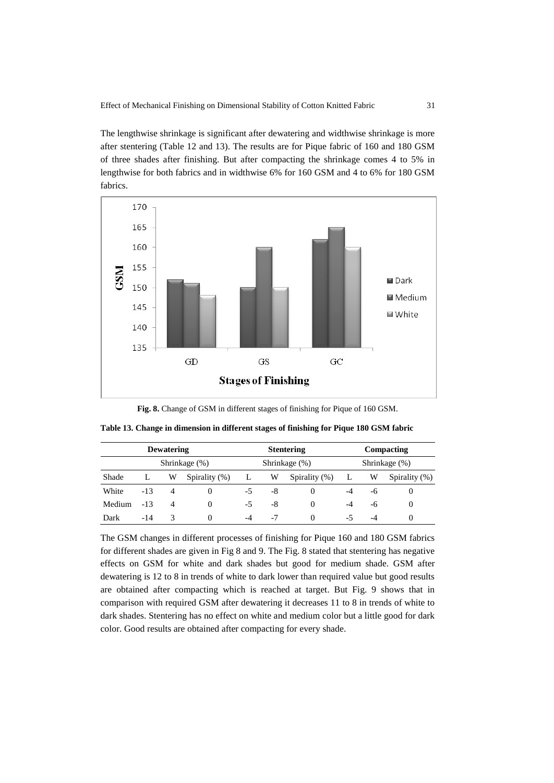The lengthwise shrinkage is significant after dewatering and widthwise shrinkage is more after stentering (Table 12 and 13). The results are for Pique fabric of 160 and 180 GSM of three shades after finishing. But after compacting the shrinkage comes 4 to 5% in lengthwise for both fabrics and in widthwise 6% for 160 GSM and 4 to 6% for 180 GSM fabrics.



**Fig. 8.** Change of GSM in different stages of finishing for Pique of 160 GSM.

| <b>Dewatering</b> |               |                |               | <b>Stentering</b> |    |                  | Compacting    |    |               |
|-------------------|---------------|----------------|---------------|-------------------|----|------------------|---------------|----|---------------|
|                   | Shrinkage (%) |                |               | Shrinkage (%)     |    |                  | Shrinkage (%) |    |               |
| Shade             | L             | W              | Spirality (%) |                   | W  | Spirality $(\%)$ |               | W  | Spirality (%) |
| White             | $-13$         | $\overline{A}$ |               | $-5$              | -8 |                  | $-4$          | -6 | $\theta$      |
| Medium            | $-13$         | 4              | 0             | $-5$              | -8 | $\theta$         | $-4$          | -6 | $\theta$      |
| Dark              | $-14$         | 3              | 0             | -4                | -7 | $\theta$         | -5            | -4 | $\theta$      |

**Table 13. Change in dimension in different stages of finishing for Pique 180 GSM fabric**

The GSM changes in different processes of finishing for Pique 160 and 180 GSM fabrics for different shades are given in Fig 8 and 9. The Fig. 8 stated that stentering has negative effects on GSM for white and dark shades but good for medium shade. GSM after dewatering is 12 to 8 in trends of white to dark lower than required value but good results are obtained after compacting which is reached at target. But Fig. 9 shows that in comparison with required GSM after dewatering it decreases 11 to 8 in trends of white to dark shades. Stentering has no effect on white and medium color but a little good for dark color. Good results are obtained after compacting for every shade.